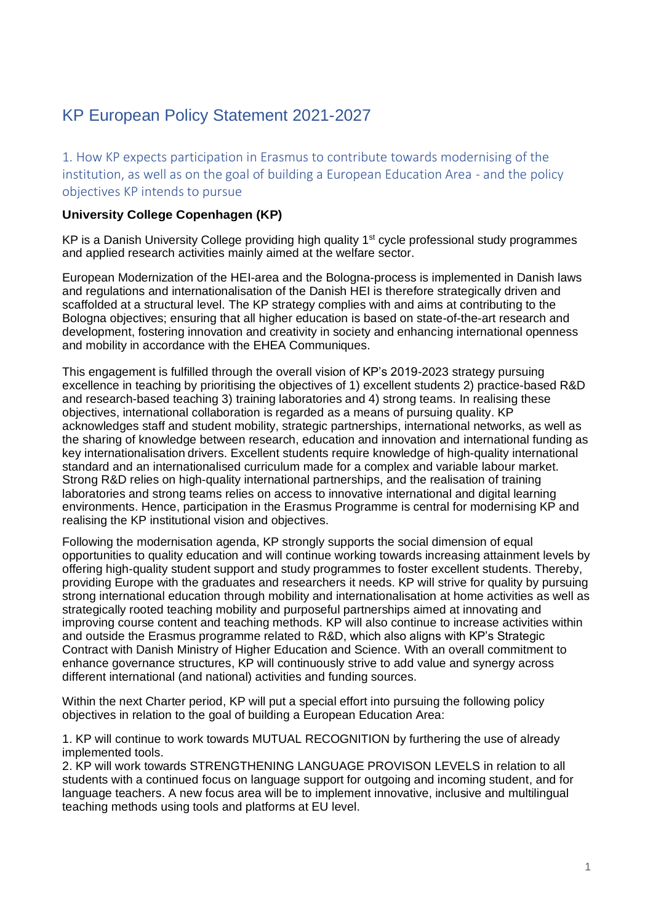# KP European Policy Statement 2021-2027

1. How KP expects participation in Erasmus to contribute towards modernising of the institution, as well as on the goal of building a European Education Area - and the policy objectives KP intends to pursue

## **University College Copenhagen (KP)**

KP is a Danish University College providing high quality  $1<sup>st</sup>$  cycle professional study programmes and applied research activities mainly aimed at the welfare sector.

European Modernization of the HEI-area and the Bologna-process is implemented in Danish laws and regulations and internationalisation of the Danish HEI is therefore strategically driven and scaffolded at a structural level. The KP strategy complies with and aims at contributing to the Bologna objectives; ensuring that all higher education is based on state-of-the-art research and development, fostering innovation and creativity in society and enhancing international openness and mobility in accordance with the EHEA Communiques.

This engagement is fulfilled through the overall vision of KP's 2019-2023 strategy pursuing excellence in teaching by prioritising the objectives of 1) excellent students 2) practice-based R&D and research-based teaching 3) training laboratories and 4) strong teams. In realising these objectives, international collaboration is regarded as a means of pursuing quality. KP acknowledges staff and student mobility, strategic partnerships, international networks, as well as the sharing of knowledge between research, education and innovation and international funding as key internationalisation drivers. Excellent students require knowledge of high-quality international standard and an internationalised curriculum made for a complex and variable labour market. Strong R&D relies on high-quality international partnerships, and the realisation of training laboratories and strong teams relies on access to innovative international and digital learning environments. Hence, participation in the Erasmus Programme is central for modernising KP and realising the KP institutional vision and objectives.

Following the modernisation agenda, KP strongly supports the social dimension of equal opportunities to quality education and will continue working towards increasing attainment levels by offering high-quality student support and study programmes to foster excellent students. Thereby, providing Europe with the graduates and researchers it needs. KP will strive for quality by pursuing strong international education through mobility and internationalisation at home activities as well as strategically rooted teaching mobility and purposeful partnerships aimed at innovating and improving course content and teaching methods. KP will also continue to increase activities within and outside the Erasmus programme related to R&D, which also aligns with KP's Strategic Contract with Danish Ministry of Higher Education and Science. With an overall commitment to enhance governance structures, KP will continuously strive to add value and synergy across different international (and national) activities and funding sources.

Within the next Charter period, KP will put a special effort into pursuing the following policy objectives in relation to the goal of building a European Education Area:

1. KP will continue to work towards MUTUAL RECOGNITION by furthering the use of already implemented tools.

2. KP will work towards STRENGTHENING LANGUAGE PROVISON LEVELS in relation to all students with a continued focus on language support for outgoing and incoming student, and for language teachers. A new focus area will be to implement innovative, inclusive and multilingual teaching methods using tools and platforms at EU level.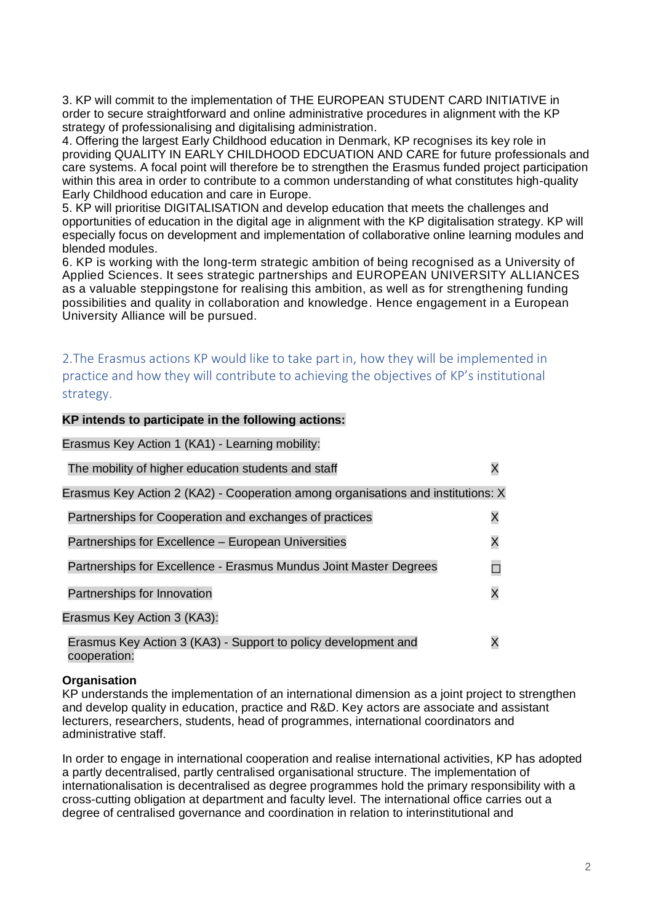3. KP will commit to the implementation of THE EUROPEAN STUDENT CARD INITIATIVE in order to secure straightforward and online administrative procedures in alignment with the KP strategy of professionalising and digitalising administration.

4. Offering the largest Early Childhood education in Denmark, KP recognises its key role in providing QUALITY IN EARLY CHILDHOOD EDCUATION AND CARE for future professionals and care systems. A focal point will therefore be to strengthen the Erasmus funded project participation within this area in order to contribute to a common understanding of what constitutes high-quality Early Childhood education and care in Europe.

5. KP will prioritise DIGITALISATION and develop education that meets the challenges and opportunities of education in the digital age in alignment with the KP digitalisation strategy. KP will especially focus on development and implementation of collaborative online learning modules and blended modules.

6. KP is working with the long-term strategic ambition of being recognised as a University of Applied Sciences. It sees strategic partnerships and EUROPEAN UNIVERSITY ALLIANCES as a valuable steppingstone for realising this ambition, as well as for strengthening funding possibilities and quality in collaboration and knowledge. Hence engagement in a European University Alliance will be pursued.

2.The Erasmus actions KP would like to take part in, how they will be implemented in practice and how they will contribute to achieving the objectives of KP's institutional strategy.

#### **KP intends to participate in the following actions:**

#### Erasmus Key Action 1 (KA1) - Learning mobility:

| The mobility of higher education students and staff                              |   |
|----------------------------------------------------------------------------------|---|
| Erasmus Key Action 2 (KA2) - Cooperation among organisations and institutions: X |   |
| Partnerships for Cooperation and exchanges of practices                          | Χ |
| Partnerships for Excellence – European Universities                              |   |
| Partnerships for Excellence - Erasmus Mundus Joint Master Degrees                |   |
| Partnerships for Innovation                                                      | Χ |
| Erasmus Key Action 3 (KA3):                                                      |   |
| Erasmus Key Action 3 (KA3) - Support to policy development and                   |   |

cooperation:

#### **Organisation**

KP understands the implementation of an international dimension as a joint project to strengthen and develop quality in education, practice and R&D. Key actors are associate and assistant lecturers, researchers, students, head of programmes, international coordinators and administrative staff.

In order to engage in international cooperation and realise international activities, KP has adopted a partly decentralised, partly centralised organisational structure. The implementation of internationalisation is decentralised as degree programmes hold the primary responsibility with a cross-cutting obligation at department and faculty level. The international office carries out a degree of centralised governance and coordination in relation to interinstitutional and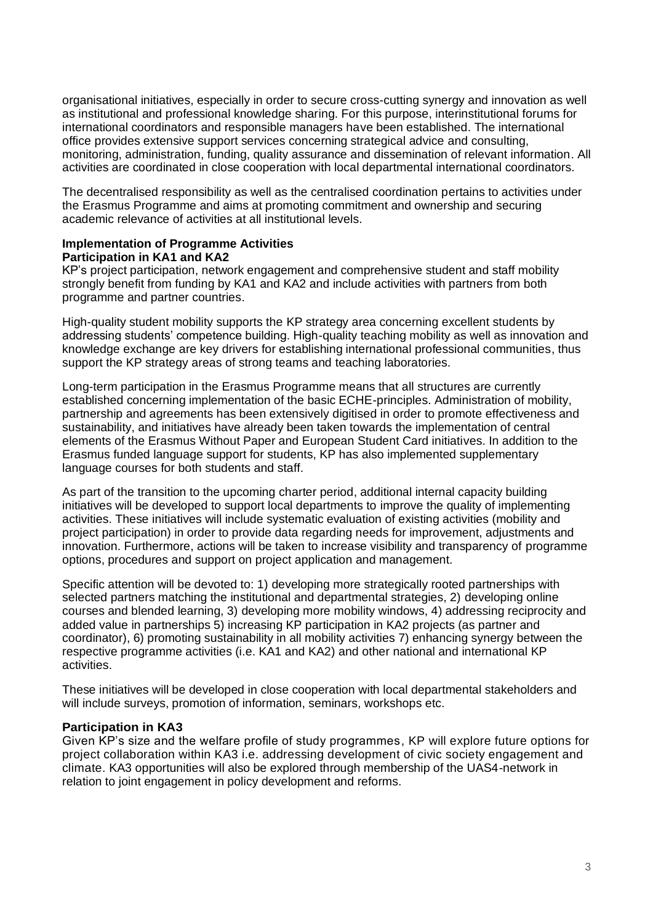organisational initiatives, especially in order to secure cross-cutting synergy and innovation as well as institutional and professional knowledge sharing. For this purpose, interinstitutional forums for international coordinators and responsible managers have been established. The international office provides extensive support services concerning strategical advice and consulting, monitoring, administration, funding, quality assurance and dissemination of relevant information. All activities are coordinated in close cooperation with local departmental international coordinators.

The decentralised responsibility as well as the centralised coordination pertains to activities under the Erasmus Programme and aims at promoting commitment and ownership and securing academic relevance of activities at all institutional levels.

## **Implementation of Programme Activities Participation in KA1 and KA2**

KP's project participation, network engagement and comprehensive student and staff mobility strongly benefit from funding by KA1 and KA2 and include activities with partners from both programme and partner countries.

High-quality student mobility supports the KP strategy area concerning excellent students by addressing students' competence building. High-quality teaching mobility as well as innovation and knowledge exchange are key drivers for establishing international professional communities, thus support the KP strategy areas of strong teams and teaching laboratories.

Long-term participation in the Erasmus Programme means that all structures are currently established concerning implementation of the basic ECHE-principles. Administration of mobility, partnership and agreements has been extensively digitised in order to promote effectiveness and sustainability, and initiatives have already been taken towards the implementation of central elements of the Erasmus Without Paper and European Student Card initiatives. In addition to the Erasmus funded language support for students, KP has also implemented supplementary language courses for both students and staff.

As part of the transition to the upcoming charter period, additional internal capacity building initiatives will be developed to support local departments to improve the quality of implementing activities. These initiatives will include systematic evaluation of existing activities (mobility and project participation) in order to provide data regarding needs for improvement, adjustments and innovation. Furthermore, actions will be taken to increase visibility and transparency of programme options, procedures and support on project application and management.

Specific attention will be devoted to: 1) developing more strategically rooted partnerships with selected partners matching the institutional and departmental strategies, 2) developing online courses and blended learning, 3) developing more mobility windows, 4) addressing reciprocity and added value in partnerships 5) increasing KP participation in KA2 projects (as partner and coordinator), 6) promoting sustainability in all mobility activities 7) enhancing synergy between the respective programme activities (i.e. KA1 and KA2) and other national and international KP activities.

These initiatives will be developed in close cooperation with local departmental stakeholders and will include surveys, promotion of information, seminars, workshops etc.

### **Participation in KA3**

Given KP's size and the welfare profile of study programmes, KP will explore future options for project collaboration within KA3 i.e. addressing development of civic society engagement and climate. KA3 opportunities will also be explored through membership of the UAS4-network in relation to joint engagement in policy development and reforms.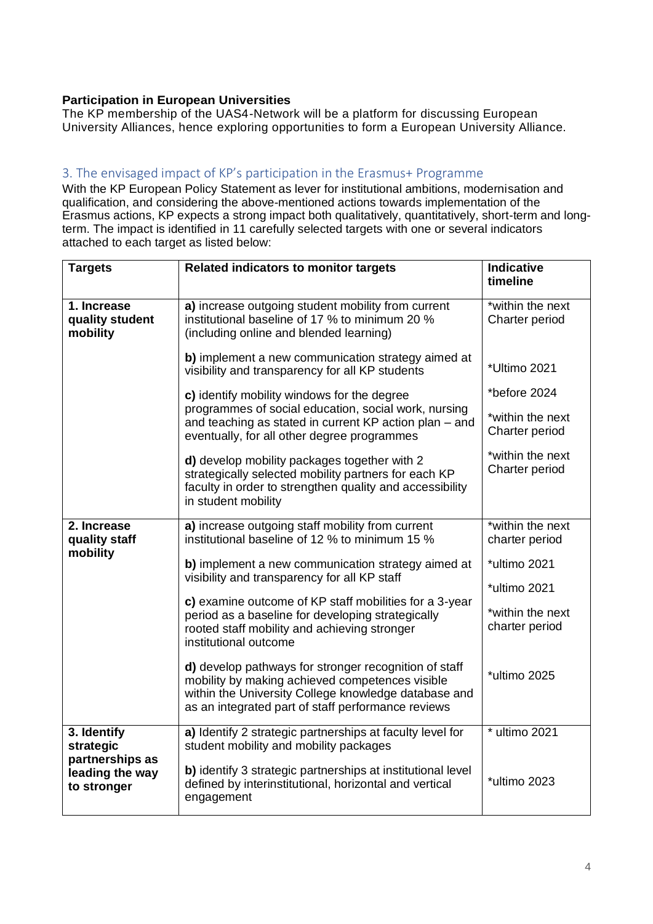## **Participation in European Universities**

The KP membership of the UAS4-Network will be a platform for discussing European University Alliances, hence exploring opportunities to form a European University Alliance.

## 3. The envisaged impact of KP's participation in the Erasmus+ Programme

With the KP European Policy Statement as lever for institutional ambitions, modernisation and qualification, and considering the above-mentioned actions towards implementation of the Erasmus actions, KP expects a strong impact both qualitatively, quantitatively, short-term and longterm. The impact is identified in 11 carefully selected targets with one or several indicators attached to each target as listed below:

| <b>Targets</b>                                                                | <b>Related indicators to monitor targets</b>                                                                                                                                                                           | <b>Indicative</b><br>timeline      |
|-------------------------------------------------------------------------------|------------------------------------------------------------------------------------------------------------------------------------------------------------------------------------------------------------------------|------------------------------------|
| 1. Increase<br>quality student<br>mobility                                    | a) increase outgoing student mobility from current<br>institutional baseline of 17 % to minimum 20 %<br>(including online and blended learning)                                                                        | *within the next<br>Charter period |
|                                                                               | b) implement a new communication strategy aimed at<br>visibility and transparency for all KP students                                                                                                                  | *Ultimo 2021                       |
|                                                                               | c) identify mobility windows for the degree                                                                                                                                                                            | *before 2024                       |
|                                                                               | programmes of social education, social work, nursing<br>and teaching as stated in current KP action plan - and<br>eventually, for all other degree programmes                                                          | *within the next<br>Charter period |
|                                                                               | d) develop mobility packages together with 2<br>strategically selected mobility partners for each KP<br>faculty in order to strengthen quality and accessibility<br>in student mobility                                | *within the next<br>Charter period |
| 2. Increase<br>quality staff<br>mobility                                      | a) increase outgoing staff mobility from current<br>institutional baseline of 12 % to minimum 15 %                                                                                                                     | *within the next<br>charter period |
|                                                                               | b) implement a new communication strategy aimed at<br>visibility and transparency for all KP staff                                                                                                                     | *ultimo 2021<br>*ultimo 2021       |
|                                                                               | c) examine outcome of KP staff mobilities for a 3-year<br>period as a baseline for developing strategically<br>rooted staff mobility and achieving stronger<br>institutional outcome                                   | *within the next<br>charter period |
|                                                                               | d) develop pathways for stronger recognition of staff<br>mobility by making achieved competences visible<br>within the University College knowledge database and<br>as an integrated part of staff performance reviews | *ultimo 2025                       |
| 3. Identify<br>strategic<br>partnerships as<br>leading the way<br>to stronger | a) Identify 2 strategic partnerships at faculty level for<br>student mobility and mobility packages                                                                                                                    | * ultimo 2021                      |
|                                                                               | b) identify 3 strategic partnerships at institutional level<br>defined by interinstitutional, horizontal and vertical<br>engagement                                                                                    | *ultimo 2023                       |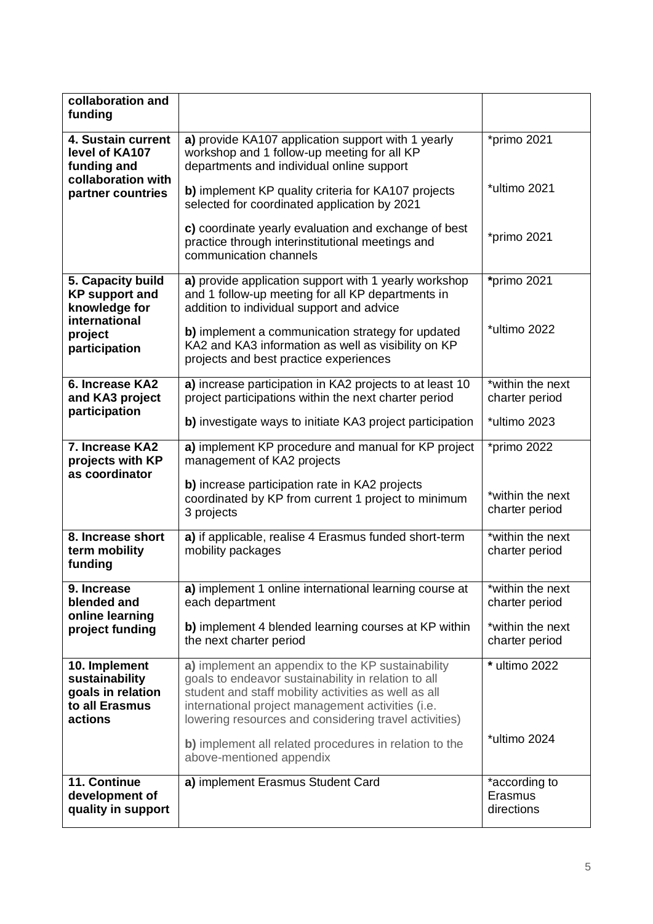| collaboration and<br>funding                                                      |                                                                                                                                                                                                                                                                                |                                        |
|-----------------------------------------------------------------------------------|--------------------------------------------------------------------------------------------------------------------------------------------------------------------------------------------------------------------------------------------------------------------------------|----------------------------------------|
| 4. Sustain current<br>level of KA107<br>funding and                               | a) provide KA107 application support with 1 yearly<br>workshop and 1 follow-up meeting for all KP<br>departments and individual online support                                                                                                                                 | *primo 2021                            |
| collaboration with<br>partner countries                                           | b) implement KP quality criteria for KA107 projects<br>selected for coordinated application by 2021                                                                                                                                                                            | *ultimo 2021                           |
|                                                                                   | c) coordinate yearly evaluation and exchange of best<br>practice through interinstitutional meetings and<br>communication channels                                                                                                                                             | *primo 2021                            |
| 5. Capacity build<br><b>KP</b> support and<br>knowledge for                       | a) provide application support with 1 yearly workshop<br>and 1 follow-up meeting for all KP departments in<br>addition to individual support and advice                                                                                                                        | *primo 2021                            |
| international<br>project<br>participation                                         | b) implement a communication strategy for updated<br>KA2 and KA3 information as well as visibility on KP<br>projects and best practice experiences                                                                                                                             | *ultimo 2022                           |
| 6. Increase KA2<br>and KA3 project<br>participation                               | a) increase participation in KA2 projects to at least 10<br>project participations within the next charter period                                                                                                                                                              | *within the next<br>charter period     |
|                                                                                   | b) investigate ways to initiate KA3 project participation                                                                                                                                                                                                                      | *ultimo 2023                           |
| 7. Increase KA2<br>projects with KP                                               | a) implement KP procedure and manual for KP project<br>management of KA2 projects                                                                                                                                                                                              | *primo 2022                            |
| as coordinator                                                                    | <b>b)</b> increase participation rate in KA2 projects<br>coordinated by KP from current 1 project to minimum<br>3 projects                                                                                                                                                     | *within the next<br>charter period     |
| 8. Increase short<br>term mobility<br>funding                                     | a) if applicable, realise 4 Erasmus funded short-term<br>mobility packages                                                                                                                                                                                                     | *within the next<br>charter period     |
| 9. Increase<br>blended and<br>online learning<br>project funding                  | a) implement 1 online international learning course at<br>each department                                                                                                                                                                                                      | *within the next<br>charter period     |
|                                                                                   | b) implement 4 blended learning courses at KP within<br>the next charter period                                                                                                                                                                                                | *within the next<br>charter period     |
| 10. Implement<br>sustainability<br>goals in relation<br>to all Erasmus<br>actions | a) implement an appendix to the KP sustainability<br>goals to endeavor sustainability in relation to all<br>student and staff mobility activities as well as all<br>international project management activities (i.e.<br>lowering resources and considering travel activities) | * ultimo 2022                          |
|                                                                                   | b) implement all related procedures in relation to the<br>above-mentioned appendix                                                                                                                                                                                             | *ultimo 2024                           |
| 11. Continue<br>development of<br>quality in support                              | a) implement Erasmus Student Card                                                                                                                                                                                                                                              | *according to<br>Erasmus<br>directions |